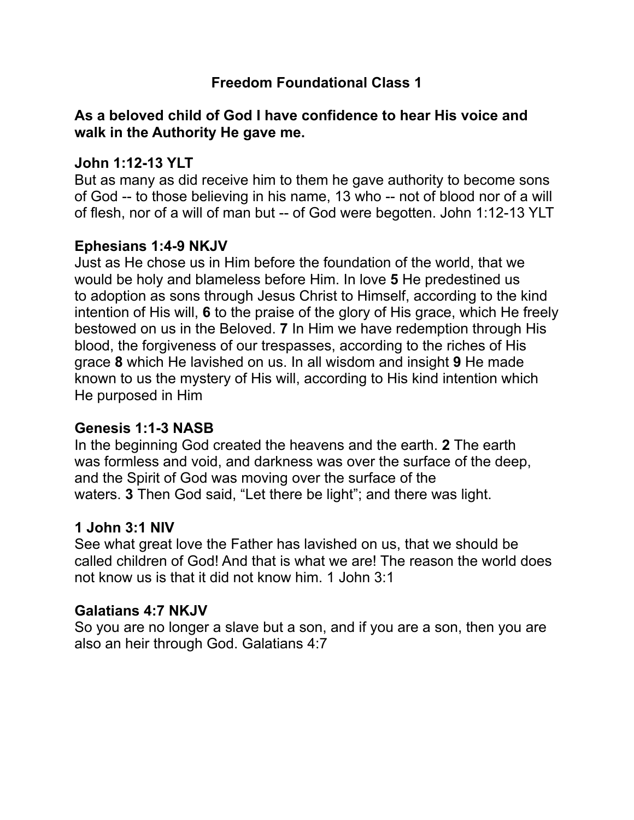# **Freedom Foundational Class 1**

## **As a beloved child of God I have confidence to hear His voice and walk in the Authority He gave me.**

### **John 1:12-13 YLT**

But as many as did receive him to them he gave authority to become sons of God -- to those believing in his name, 13 who -- not of blood nor of a will of flesh, nor of a will of man but -- of God were begotten. John 1:12-13 YLT

### **Ephesians 1:4-9 NKJV**

Just as He chose us in Him before the foundation of the world, that we would be holy and blameless before Him. In love **5** He predestined us to adoption as sons through Jesus Christ to Himself, according to the kind intention of His will, **6** to the praise of the glory of His grace, which He freely bestowed on us in the Beloved. **7** In Him we have redemption through His blood, the forgiveness of our trespasses, according to the riches of His grace **8** which He lavished on us. In all wisdom and insight **9** He made known to us the mystery of His will, according to His kind intention which He purposed in Him

#### **Genesis 1:1-3 NASB**

In the beginning God created the heavens and the earth. **2** The earth was formless and void, and darkness was over the surface of the deep, and the Spirit of God was moving over the surface of the waters. **3** Then God said, "Let there be light"; and there was light.

#### **1 John 3:1 NIV**

See what great love the Father has lavished on us, that we should be called children of God! And that is what we are! The reason the world does not know us is that it did not know him. 1 John 3:1

#### **Galatians 4:7 NKJV**

So you are no longer a slave but a son, and if you are a son, then you are also an heir through God. Galatians 4:7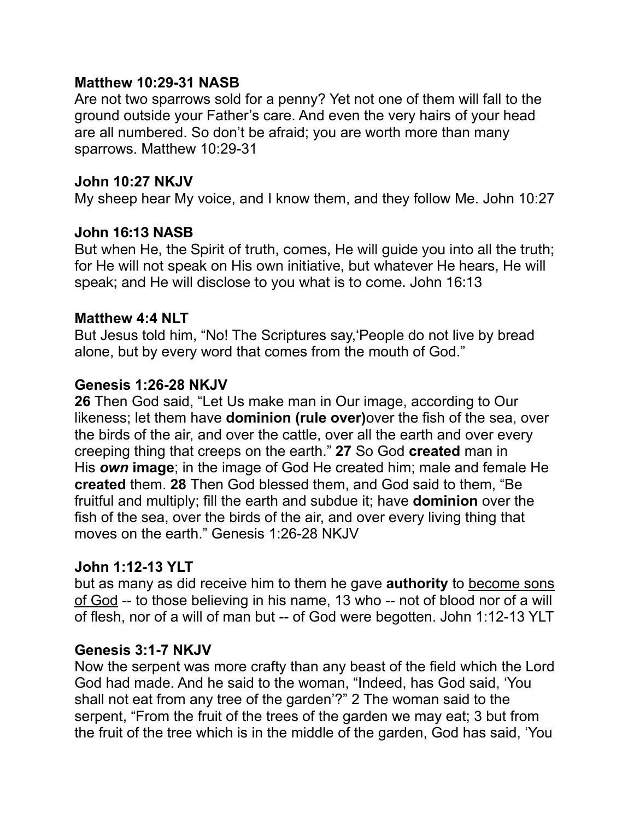### **Matthew 10:29-31 NASB**

Are not two sparrows sold for a penny? Yet not one of them will fall to the ground outside your Father's care. And even the very hairs of your head are all numbered. So don't be afraid; you are worth more than many sparrows. Matthew 10:29-31

#### **John 10:27 NKJV**

My sheep hear My voice, and I know them, and they follow Me. John 10:27

### **John 16:13 NASB**

But when He, the Spirit of truth, comes, He will guide you into all the truth; for He will not speak on His own initiative, but whatever He hears, He will speak; and He will disclose to you what is to come. John 16:13

### **Matthew 4:4 NLT**

But Jesus told him, "No! The Scriptures say,'People do not live by bread alone, but by every word that comes from the mouth of God."

### **Genesis 1:26-28 NKJV**

**26** Then God said, "Let Us make man in Our image, according to Our likeness; let them have **dominion (rule over)**over the fish of the sea, over the birds of the air, and over the cattle, over all the earth and over every creeping thing that creeps on the earth." **27** So God **created** man in His *own* **image**; in the image of God He created him; male and female He **created** them. **28** Then God blessed them, and God said to them, "Be fruitful and multiply; fill the earth and subdue it; have **dominion** over the fish of the sea, over the birds of the air, and over every living thing that moves on the earth." Genesis 1:26-28 NKJV

## **John 1:12-13 YLT**

but as many as did receive him to them he gave **authority** to become sons of God -- to those believing in his name, 13 who -- not of blood nor of a will of flesh, nor of a will of man but -- of God were begotten. John 1:12-13 YLT

## **Genesis 3:1-7 NKJV**

Now the serpent was more crafty than any beast of the field which the Lord God had made. And he said to the woman, "Indeed, has God said, 'You shall not eat from any tree of the garden'?" 2 The woman said to the serpent, "From the fruit of the trees of the garden we may eat; 3 but from the fruit of the tree which is in the middle of the garden, God has said, 'You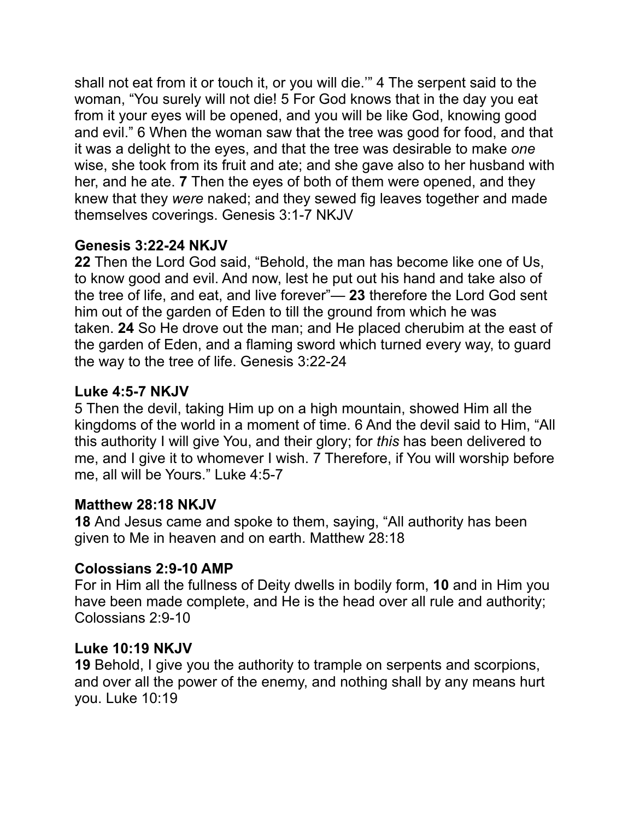shall not eat from it or touch it, or you will die.'" 4 The serpent said to the woman, "You surely will not die! 5 For God knows that in the day you eat from it your eyes will be opened, and you will be like God, knowing good and evil." 6 When the woman saw that the tree was good for food, and that it was a delight to the eyes, and that the tree was desirable to make *one* wise, she took from its fruit and ate; and she gave also to her husband with her, and he ate. **7** Then the eyes of both of them were opened, and they knew that they *were* naked; and they sewed fig leaves together and made themselves coverings. Genesis 3:1-7 NKJV

# **Genesis 3:22-24 NKJV**

**22** Then the Lord God said, "Behold, the man has become like one of Us, to know good and evil. And now, lest he put out his hand and take also of the tree of life, and eat, and live forever"— **23** therefore the Lord God sent him out of the garden of Eden to till the ground from which he was taken. **24** So He drove out the man; and He placed cherubim at the east of the garden of Eden, and a flaming sword which turned every way, to guard the way to the tree of life. Genesis 3:22-24

# **Luke 4:5-7 NKJV**

5 Then the devil, taking Him up on a high mountain, showed Him all the kingdoms of the world in a moment of time. 6 And the devil said to Him, "All this authority I will give You, and their glory; for *this* has been delivered to me, and I give it to whomever I wish. 7 Therefore, if You will worship before me, all will be Yours." Luke 4:5-7

## **Matthew 28:18 NKJV**

**18** And Jesus came and spoke to them, saying, "All authority has been given to Me in heaven and on earth. Matthew 28:18

## **Colossians 2:9-10 AMP**

For in Him all the fullness of Deity dwells in bodily form, **10** and in Him you have been made complete, and He is the head over all rule and authority; Colossians 2:9-10

## **Luke 10:19 NKJV**

**19** Behold, I give you the authority to trample on serpents and scorpions, and over all the power of the enemy, and nothing shall by any means hurt you. Luke 10:19